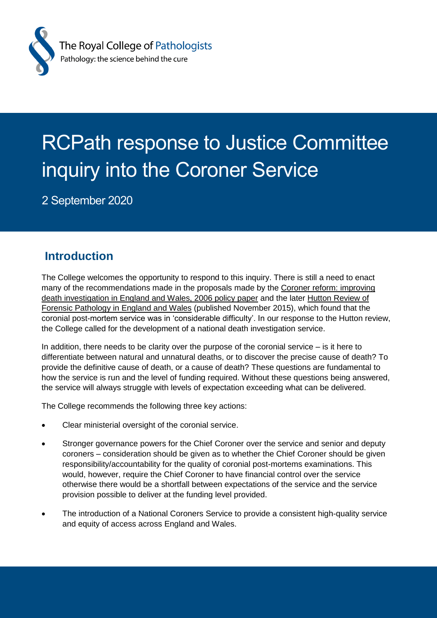

# RCPath response to Justice Committee inquiry into the Coroner Service

2 September 2020

# **Introduction**

The College welcomes the opportunity to respond to this inquiry. There is still a need to enact many of the recommendations made in the proposals made by the [Coroner reform: improving](https://www.gov.uk/government/publications/coroner-reform-improving-death-investigation-in-england-and-wales)  [death investigation in England and Wales, 2006](https://www.gov.uk/government/publications/coroner-reform-improving-death-investigation-in-england-and-wales) policy paper and the later [Hutton Review of](https://www.gov.uk/government/publications/review-of-forensic-pathology-in-england-and-wales)  [Forensic Pathology in England and Wales](https://www.gov.uk/government/publications/review-of-forensic-pathology-in-england-and-wales) (published November 2015), which found that the coronial post-mortem service was in 'considerable difficulty'. In our response to the Hutton review, the College called for the development of a national death investigation service.

In addition, there needs to be clarity over the purpose of the coronial service – is it here to differentiate between natural and unnatural deaths, or to discover the precise cause of death? To provide the definitive cause of death, or a cause of death? These questions are fundamental to how the service is run and the level of funding required. Without these questions being answered, the service will always struggle with levels of expectation exceeding what can be delivered.

The College recommends the following three key actions:

- Clear ministerial oversight of the coronial service.
- Stronger governance powers for the Chief Coroner over the service and senior and deputy coroners – consideration should be given as to whether the Chief Coroner should be given responsibility/accountability for the quality of coronial post-mortems examinations. This would, however, require the Chief Coroner to have financial control over the service otherwise there would be a shortfall between expectations of the service and the service provision possible to deliver at the funding level provided.
- The introduction of a National Coroners Service to provide a consistent high-quality service and equity of access across England and Wales.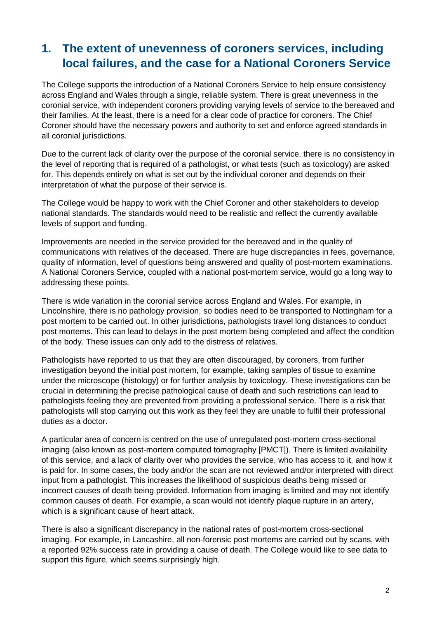## **1. The extent of unevenness of coroners services, including local failures, and the case for a National Coroners Service**

The College supports the introduction of a National Coroners Service to help ensure consistency across England and Wales through a single, reliable system. There is great unevenness in the coronial service, with independent coroners providing varying levels of service to the bereaved and their families. At the least, there is a need for a clear code of practice for coroners. The Chief Coroner should have the necessary powers and authority to set and enforce agreed standards in all coronial jurisdictions.

Due to the current lack of clarity over the purpose of the coronial service, there is no consistency in the level of reporting that is required of a pathologist, or what tests (such as toxicology) are asked for. This depends entirely on what is set out by the individual coroner and depends on their interpretation of what the purpose of their service is.

The College would be happy to work with the Chief Coroner and other stakeholders to develop national standards. The standards would need to be realistic and reflect the currently available levels of support and funding.

Improvements are needed in the service provided for the bereaved and in the quality of communications with relatives of the deceased. There are huge discrepancies in fees, governance, quality of information, level of questions being answered and quality of post-mortem examinations. A National Coroners Service, coupled with a national post-mortem service, would go a long way to addressing these points.

There is wide variation in the coronial service across England and Wales. For example, in Lincolnshire, there is no pathology provision, so bodies need to be transported to Nottingham for a post mortem to be carried out. In other jurisdictions, pathologists travel long distances to conduct post mortems. This can lead to delays in the post mortem being completed and affect the condition of the body. These issues can only add to the distress of relatives.

Pathologists have reported to us that they are often discouraged, by coroners, from further investigation beyond the initial post mortem, for example, taking samples of tissue to examine under the microscope (histology) or for further analysis by toxicology. These investigations can be crucial in determining the precise pathological cause of death and such restrictions can lead to pathologists feeling they are prevented from providing a professional service. There is a risk that pathologists will stop carrying out this work as they feel they are unable to fulfil their professional duties as a doctor.

A particular area of concern is centred on the use of unregulated post-mortem cross-sectional imaging (also known as post-mortem computed tomography [PMCT]). There is limited availability of this service, and a lack of clarity over who provides the service, who has access to it, and how it is paid for. In some cases, the body and/or the scan are not reviewed and/or interpreted with direct input from a pathologist. This increases the likelihood of suspicious deaths being missed or incorrect causes of death being provided. Information from imaging is limited and may not identify common causes of death. For example, a scan would not identify plaque rupture in an artery, which is a significant cause of heart attack.

There is also a significant discrepancy in the national rates of post-mortem cross-sectional imaging. For example, in Lancashire, all non-forensic post mortems are carried out by scans, with a reported 92% success rate in providing a cause of death. The College would like to see data to support this figure, which seems surprisingly high.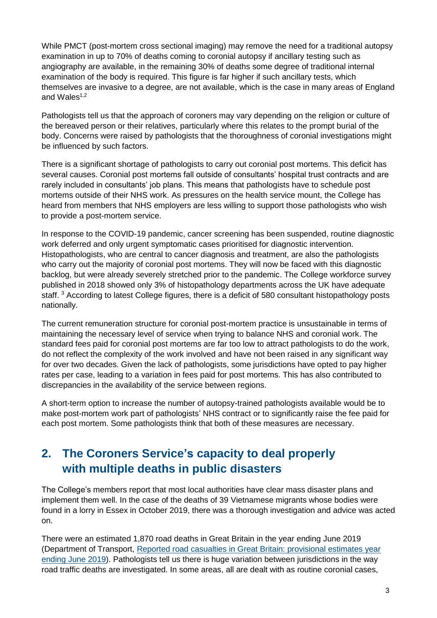While PMCT (post-mortem cross sectional imaging) may remove the need for a traditional autopsy examination in up to 70% of deaths coming to coronial autopsy if ancillary testing such as angiography are available, in the remaining 30% of deaths some degree of traditional internal examination of the body is required. This figure is far higher if such ancillary tests, which themselves are invasive to a degree, are not available, which is the case in many areas of England and Wales $1,2$ 

Pathologists tell us that the approach of coroners may vary depending on the religion or culture of the bereaved person or their relatives, particularly where this relates to the prompt burial of the body. Concerns were raised by pathologists that the thoroughness of coronial investigations might be influenced by such factors.

There is a significant shortage of pathologists to carry out coronial post mortems. This deficit has several causes. Coronial post mortems fall outside of consultants' hospital trust contracts and are rarely included in consultants' job plans. This means that pathologists have to schedule post mortems outside of their NHS work. As pressures on the health service mount, the College has heard from members that NHS employers are less willing to support those pathologists who wish to provide a post-mortem service.

In response to the COVID-19 pandemic, cancer screening has been suspended, routine diagnostic work deferred and only urgent symptomatic cases prioritised for diagnostic intervention. Histopathologists, who are central to cancer diagnosis and treatment, are also the pathologists who carry out the majority of coronial post mortems. They will now be faced with this diagnostic backlog, but were already severely stretched prior to the pandemic. The College workforce survey published in 2018 showed only 3% of histopathology departments across the UK have adequate staff. <sup>3</sup> According to latest College figures, there is a deficit of 580 consultant histopathology posts nationally.

The current remuneration structure for coronial post-mortem practice is unsustainable in terms of maintaining the necessary level of service when trying to balance NHS and coronial work. The standard fees paid for coronial post mortems are far too low to attract pathologists to do the work, do not reflect the complexity of the work involved and have not been raised in any significant way for over two decades. Given the lack of pathologists, some jurisdictions have opted to pay higher rates per case, leading to a variation in fees paid for post mortems. This has also contributed to discrepancies in the availability of the service between regions.

A short-term option to increase the number of autopsy-trained pathologists available would be to make post-mortem work part of pathologists' NHS contract or to significantly raise the fee paid for each post mortem. Some pathologists think that both of these measures are necessary.

# **2. The Coroners Service's capacity to deal properly with multiple deaths in public disasters**

The College's members report that most local authorities have clear mass disaster plans and implement them well. In the case of the deaths of 39 Vietnamese migrants whose bodies were found in a lorry in Essex in October 2019, there was a thorough investigation and advice was acted on.

There were an estimated 1,870 road deaths in Great Britain in the year ending June 2019 (Department of Transport, [Reported road casualties in Great Britain: provisional estimates year](https://www.gov.uk/government/statistics/reported-road-casualties-in-great-britain-provisional-estimates-year-ending-june-2019)  [ending June 2019\)](https://www.gov.uk/government/statistics/reported-road-casualties-in-great-britain-provisional-estimates-year-ending-june-2019). Pathologists tell us there is huge variation between jurisdictions in the way road traffic deaths are investigated. In some areas, all are dealt with as routine coronial cases,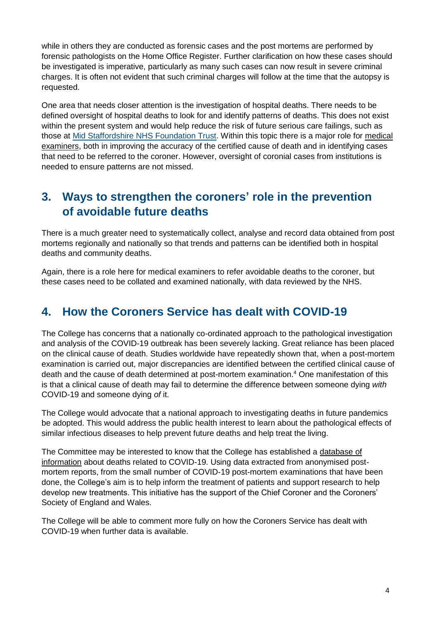while in others they are conducted as forensic cases and the post mortems are performed by forensic pathologists on the Home Office Register. Further clarification on how these cases should be investigated is imperative, particularly as many such cases can now result in severe criminal charges. It is often not evident that such criminal charges will follow at the time that the autopsy is requested.

One area that needs closer attention is the investigation of hospital deaths. There needs to be defined oversight of hospital deaths to look for and identify patterns of deaths. This does not exist within the present system and would help reduce the risk of future serious care failings, such as those at [Mid Staffordshire NHS Foundation Trust.](https://webarchive.nationalarchives.gov.uk/20150407084003/http:/www.midstaffspublicinquiry.com/) Within this topic there is a major role for [medical](https://www.rcpath.org/discover-pathology/public-affairs/medical-examiners.html)  [examiners,](https://www.rcpath.org/discover-pathology/public-affairs/medical-examiners.html) both in improving the accuracy of the certified cause of death and in identifying cases that need to be referred to the coroner. However, oversight of coronial cases from institutions is needed to ensure patterns are not missed.

## **3. Ways to strengthen the coroners' role in the prevention of avoidable future deaths**

There is a much greater need to systematically collect, analyse and record data obtained from post mortems regionally and nationally so that trends and patterns can be identified both in hospital deaths and community deaths.

Again, there is a role here for medical examiners to refer avoidable deaths to the coroner, but these cases need to be collated and examined nationally, with data reviewed by the NHS.

## **4. How the Coroners Service has dealt with COVID-19**

The College has concerns that a nationally co-ordinated approach to the pathological investigation and analysis of the COVID-19 outbreak has been severely lacking. Great reliance has been placed on the clinical cause of death. Studies worldwide have repeatedly shown that, when a post-mortem examination is carried out, major discrepancies are identified between the certified clinical cause of death and the cause of death determined at post-mortem examination.<sup>4</sup> One manifestation of this is that a clinical cause of death may fail to determine the difference between someone dying *with*  COVID-19 and someone dying *of* it.

The College would advocate that a national approach to investigating deaths in future pandemics be adopted. This would address the public health interest to learn about the pathological effects of similar infectious diseases to help prevent future deaths and help treat the living.

The Committee may be interested to know that the College has established a database of [information](https://www.rcpath.org/profession/coronavirus-resource-hub/covid-19-post-mortem-portal.html) about deaths related to COVID-19. Using data extracted from anonymised postmortem reports, from the small number of COVID-19 post-mortem examinations that have been done, the College's aim is to help inform the treatment of patients and support research to help develop new treatments. This initiative has the support of the Chief Coroner and the Coroners' Society of England and Wales.

The College will be able to comment more fully on how the Coroners Service has dealt with COVID-19 when further data is available.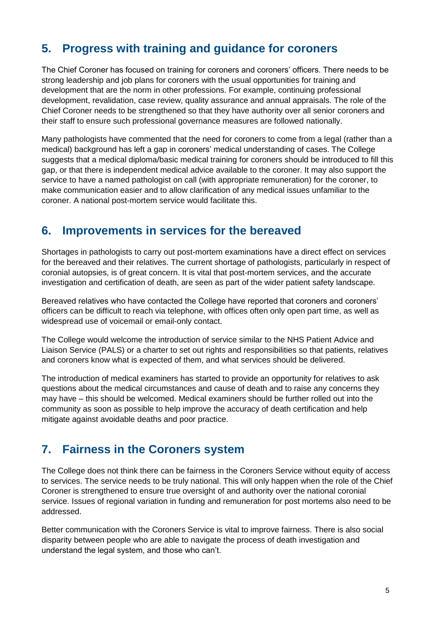## **5. Progress with training and guidance for coroners**

The Chief Coroner has focused on training for coroners and coroners' officers. There needs to be strong leadership and job plans for coroners with the usual opportunities for training and development that are the norm in other professions. For example, continuing professional development, revalidation, case review, quality assurance and annual appraisals. The role of the Chief Coroner needs to be strengthened so that they have authority over all senior coroners and their staff to ensure such professional governance measures are followed nationally.

Many pathologists have commented that the need for coroners to come from a legal (rather than a medical) background has left a gap in coroners' medical understanding of cases. The College suggests that a medical diploma/basic medical training for coroners should be introduced to fill this gap, or that there is independent medical advice available to the coroner. It may also support the service to have a named pathologist on call (with appropriate remuneration) for the coroner, to make communication easier and to allow clarification of any medical issues unfamiliar to the coroner. A national post-mortem service would facilitate this.

#### **6. Improvements in services for the bereaved**

Shortages in pathologists to carry out post-mortem examinations have a direct effect on services for the bereaved and their relatives. The current shortage of pathologists, particularly in respect of coronial autopsies, is of great concern. It is vital that post-mortem services, and the accurate investigation and certification of death, are seen as part of the wider patient safety landscape.

Bereaved relatives who have contacted the College have reported that coroners and coroners' officers can be difficult to reach via telephone, with offices often only open part time, as well as widespread use of voicemail or email-only contact.

The College would welcome the introduction of service similar to the NHS Patient Advice and Liaison Service (PALS) or a charter to set out rights and responsibilities so that patients, relatives and coroners know what is expected of them, and what services should be delivered.

The introduction of medical examiners has started to provide an opportunity for relatives to ask questions about the medical circumstances and cause of death and to raise any concerns they may have – this should be welcomed. Medical examiners should be further rolled out into the community as soon as possible to help improve the accuracy of death certification and help mitigate against avoidable deaths and poor practice.

#### **7. Fairness in the Coroners system**

The College does not think there can be fairness in the Coroners Service without equity of access to services. The service needs to be truly national. This will only happen when the role of the Chief Coroner is strengthened to ensure true oversight of and authority over the national coronial service. Issues of regional variation in funding and remuneration for post mortems also need to be addressed.

Better communication with the Coroners Service is vital to improve fairness. There is also social disparity between people who are able to navigate the process of death investigation and understand the legal system, and those who can't.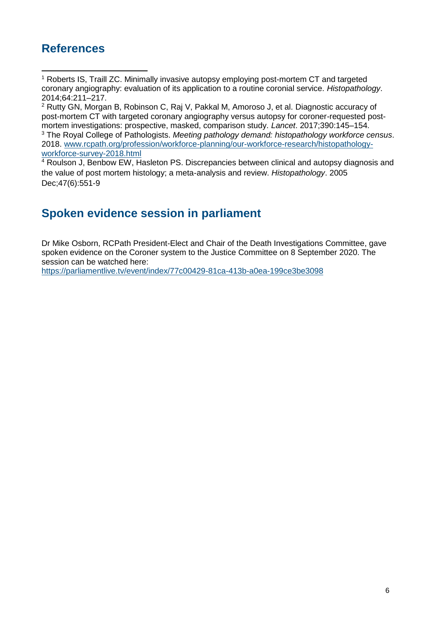## **References**

<sup>2</sup> Rutty GN, Morgan B, Robinson C, Raj V, Pakkal M, Amoroso J, et al. Diagnostic accuracy of post-mortem CT with targeted coronary angiography versus autopsy for coroner-requested postmortem investigations: prospective, masked, comparison study. *Lancet*. 2017;390:145–154. <sup>3</sup> The Royal College of Pathologists. *Meeting pathology demand: histopathology workforce census*. 2018. [www.rcpath.org/profession/workforce-planning/our-workforce-research/histopathology](http://www.rcpath.org/profession/workforce-planning/our-workforce-research/histopathology-workforce-survey-2018.html)[workforce-survey-2018.html](http://www.rcpath.org/profession/workforce-planning/our-workforce-research/histopathology-workforce-survey-2018.html)

<sup>4</sup> Roulson J, Benbow EW, Hasleton PS. Discrepancies between clinical and autopsy diagnosis and the value of post mortem histology; a meta-analysis and review. *Histopathology*. 2005 Dec;47(6):551-9

# **Spoken evidence session in parliament**

Dr Mike Osborn, RCPath President-Elect and Chair of the Death Investigations Committee, gave spoken evidence on the Coroner system to the Justice Committee on 8 September 2020. The session can be watched here:

[https://parliamentlive.tv/event/index/77c00429-81ca-413b-a0ea-199ce3be3098](https://protect-eu.mimecast.com/s/MYmwCGvOLtw48jcQ6FD1?domain=eur03.safelinks.protection.outlook.com)

<sup>&</sup>lt;sup>1</sup> Roberts IS, Traill ZC. Minimally invasive autopsy employing post-mortem CT and targeted coronary angiography: evaluation of its application to a routine coronial service. *Histopathology*. 2014;64:211–217.  $\ddot{\phantom{a}}$